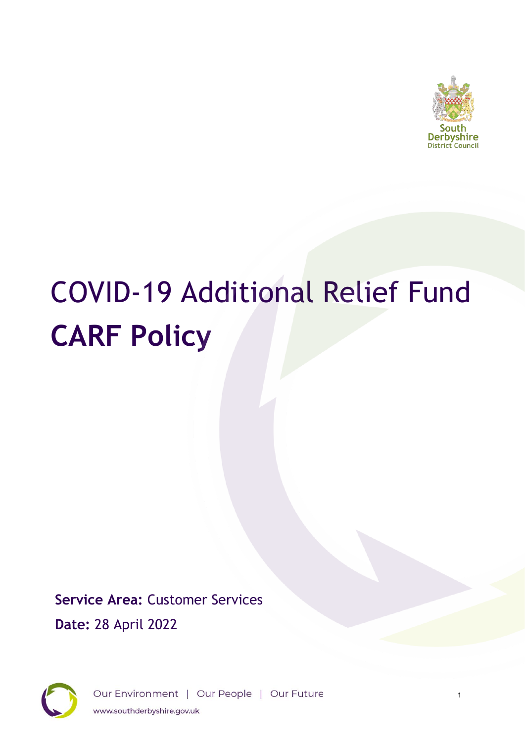

# COVID-19 Additional Relief Fund **CARF Policy**

**Service Area:** Customer Services **Date:** 28 April 2022



Our Environment | Our People | Our Future www.southderbyshire.gov.uk

1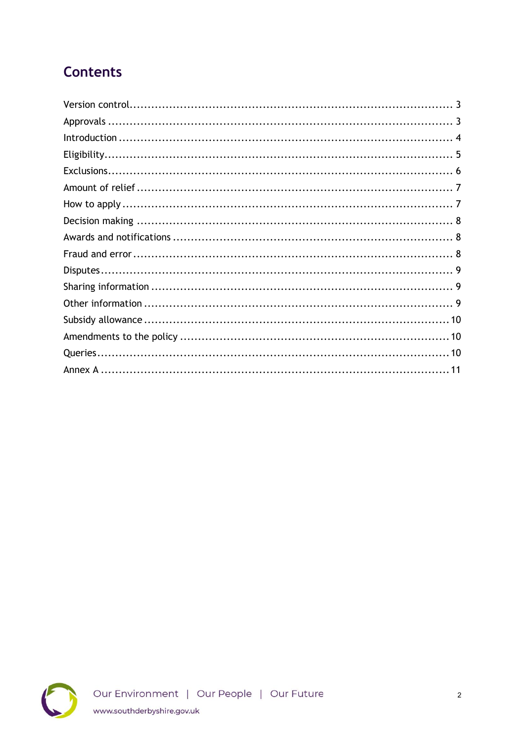# **Contents**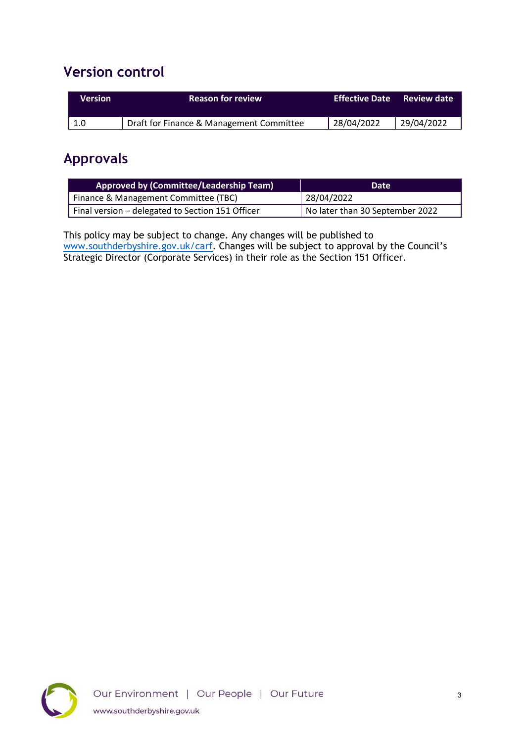#### <span id="page-2-0"></span>**Version control**

| <b>Version</b> | <b>Reason for review</b>                 | <b>Effective Date</b> | <b>Review date</b> |
|----------------|------------------------------------------|-----------------------|--------------------|
| 1.0            | Draft for Finance & Management Committee | 28/04/2022            | 29/04/2022         |

#### <span id="page-2-1"></span>**Approvals**

| Approved by (Committee/Leadership Team)          | Date <sup>1</sup>               |
|--------------------------------------------------|---------------------------------|
| Finance & Management Committee (TBC)             | 28/04/2022                      |
| Final version - delegated to Section 151 Officer | No later than 30 September 2022 |

This policy may be subject to change. Any changes will be published to [www.southderbyshire.gov.uk/carf](http://www.southderbyshire.gov.uk/carf). Changes will be subject to approval by the Council's Strategic Director (Corporate Services) in their role as the Section 151 Officer.

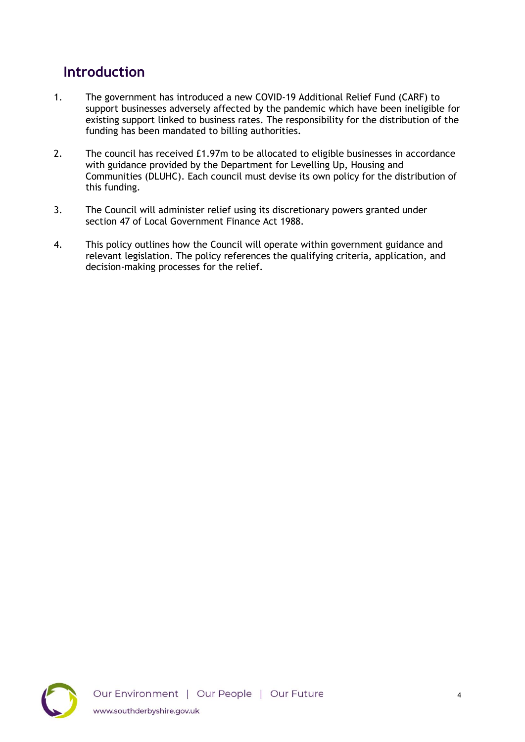## <span id="page-3-0"></span>**Introduction**

- 1. The government has introduced a new COVID-19 Additional Relief Fund (CARF) to support businesses adversely affected by the pandemic which have been ineligible for existing support linked to business rates. The responsibility for the distribution of the funding has been mandated to billing authorities.
- 2. The council has received £1.97m to be allocated to eligible businesses in accordance with guidance provided by the Department for Levelling Up, Housing and Communities (DLUHC). Each council must devise its own policy for the distribution of this funding.
- 3. The Council will administer relief using its discretionary powers granted under section 47 of Local Government Finance Act 1988.
- <span id="page-3-1"></span>4. This policy outlines how the Council will operate within government guidance and relevant legislation. The policy references the qualifying criteria, application, and decision-making processes for the relief.

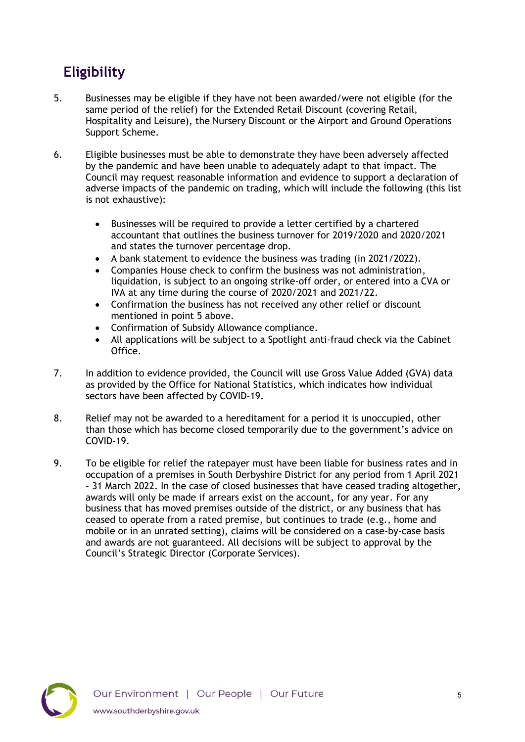# **Eligibility**

- 5. Businesses may be eligible if they have not been awarded/were not eligible (for the same period of the relief) for the Extended Retail Discount (covering Retail, Hospitality and Leisure), the Nursery Discount or the Airport and Ground Operations Support Scheme.
- 6. Eligible businesses must be able to demonstrate they have been adversely affected by the pandemic and have been unable to adequately adapt to that impact. The Council may request reasonable information and evidence to support a declaration of adverse impacts of the pandemic on trading, which will include the following (this list is not exhaustive):
	- Businesses will be required to provide a letter certified by a chartered accountant that outlines the business turnover for 2019/2020 and 2020/2021 and states the turnover percentage drop.
	- A bank statement to evidence the business was trading (in 2021/2022).
	- Companies House check to confirm the business was not administration, liquidation, is subject to an ongoing strike-off order, or entered into a CVA or IVA at any time during the course of 2020/2021 and 2021/22.
	- Confirmation the business has not received any other relief or discount mentioned in point 5 above.
	- Confirmation of Subsidy Allowance compliance.
	- All applications will be subject to a Spotlight anti-fraud check via the Cabinet Office.
- 7. In addition to evidence provided, the Council will use Gross Value Added (GVA) data as provided by the Office for National Statistics, which indicates how individual sectors have been affected by COVID-19.
- 8. Relief may not be awarded to a hereditament for a period it is unoccupied, other than those which has become closed temporarily due to the government's advice on COVID-19.
- <span id="page-4-0"></span>9. To be eligible for relief the ratepayer must have been liable for business rates and in occupation of a premises in South Derbyshire District for any period from 1 April 2021 – 31 March 2022. In the case of closed businesses that have ceased trading altogether, awards will only be made if arrears exist on the account, for any year. For any business that has moved premises outside of the district, or any business that has ceased to operate from a rated premise, but continues to trade (e.g., home and mobile or in an unrated setting), claims will be considered on a case-by-case basis and awards are not guaranteed. All decisions will be subject to approval by the Council's Strategic Director (Corporate Services).

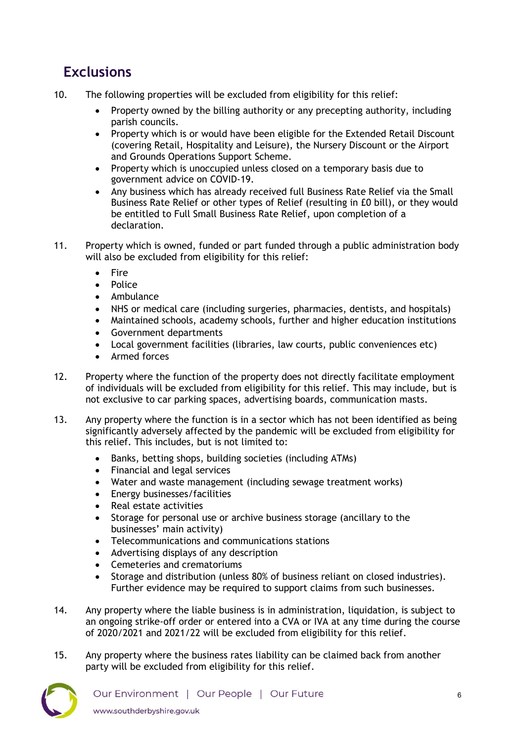# **Exclusions**

- 10. The following properties will be excluded from eligibility for this relief:
	- Property owned by the billing authority or any precepting authority, including parish councils.
	- Property which is or would have been eligible for the Extended Retail Discount (covering Retail, Hospitality and Leisure), the Nursery Discount or the Airport and Grounds Operations Support Scheme.
	- Property which is unoccupied unless closed on a temporary basis due to government advice on COVID-19.
	- Any business which has already received full Business Rate Relief via the Small Business Rate Relief or other types of Relief (resulting in £0 bill), or they would be entitled to Full Small Business Rate Relief, upon completion of a declaration.
- 11. Property which is owned, funded or part funded through a public administration body will also be excluded from eligibility for this relief:
	- Fire
	- Police
	- Ambulance
	- NHS or medical care (including surgeries, pharmacies, dentists, and hospitals)
	- Maintained schools, academy schools, further and higher education institutions
	- Government departments
	- Local government facilities (libraries, law courts, public conveniences etc)
	- Armed forces
- 12. Property where the function of the property does not directly facilitate employment of individuals will be excluded from eligibility for this relief. This may include, but is not exclusive to car parking spaces, advertising boards, communication masts.
- 13. Any property where the function is in a sector which has not been identified as being significantly adversely affected by the pandemic will be excluded from eligibility for this relief. This includes, but is not limited to:
	- Banks, betting shops, building societies (including ATMs)
	- Financial and legal services
	- Water and waste management (including sewage treatment works)
	- Energy businesses/facilities
	- Real estate activities
	- Storage for personal use or archive business storage (ancillary to the businesses' main activity)
	- Telecommunications and communications stations
	- Advertising displays of any description
	- Cemeteries and crematoriums
	- Storage and distribution (unless 80% of business reliant on closed industries). Further evidence may be required to support claims from such businesses.
- 14. Any property where the liable business is in administration, liquidation, is subject to an ongoing strike-off order or entered into a CVA or IVA at any time during the course of 2020/2021 and 2021/22 will be excluded from eligibility for this relief.
- 15. Any property where the business rates liability can be claimed back from another party will be excluded from eligibility for this relief.

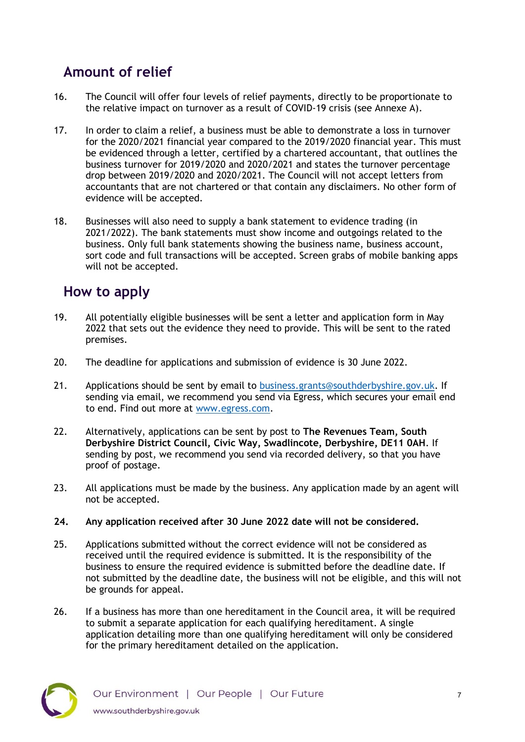## <span id="page-6-0"></span>**Amount of relief**

- 16. The Council will offer four levels of relief payments, directly to be proportionate to the relative impact on turnover as a result of COVID-19 crisis (see Annexe A).
- 17. In order to claim a relief, a business must be able to demonstrate a loss in turnover for the 2020/2021 financial year compared to the 2019/2020 financial year. This must be evidenced through a letter, certified by a chartered accountant, that outlines the business turnover for 2019/2020 and 2020/2021 and states the turnover percentage drop between 2019/2020 and 2020/2021. The Council will not accept letters from accountants that are not chartered or that contain any disclaimers. No other form of evidence will be accepted.
- 18. Businesses will also need to supply a bank statement to evidence trading (in 2021/2022). The bank statements must show income and outgoings related to the business. Only full bank statements showing the business name, business account, sort code and full transactions will be accepted. Screen grabs of mobile banking apps will not be accepted.

#### <span id="page-6-1"></span>**How to apply**

- 19. All potentially eligible businesses will be sent a letter and application form in May 2022 that sets out the evidence they need to provide. This will be sent to the rated premises.
- 20. The deadline for applications and submission of evidence is 30 June 2022.
- 21. Applications should be sent by email to [business.grants@southderbyshire.gov.uk.](mailto:business.grants@southderbyshire.gov.uk) If sending via email, we recommend you send via Egress, which secures your email end to end. Find out more at [www.egress.com.](http://www.egress.com/)
- 22. Alternatively, applications can be sent by post to **The Revenues Team, South Derbyshire District Council, Civic Way, Swadlincote, Derbyshire, DE11 0AH**. If sending by post, we recommend you send via recorded delivery, so that you have proof of postage.
- 23. All applications must be made by the business. Any application made by an agent will not be accepted.
- **24. Any application received after 30 June 2022 date will not be considered.**
- 25. Applications submitted without the correct evidence will not be considered as received until the required evidence is submitted. It is the responsibility of the business to ensure the required evidence is submitted before the deadline date. If not submitted by the deadline date, the business will not be eligible, and this will not be grounds for appeal.
- 26. If a business has more than one hereditament in the Council area, it will be required to submit a separate application for each qualifying hereditament. A single application detailing more than one qualifying hereditament will only be considered for the primary hereditament detailed on the application.

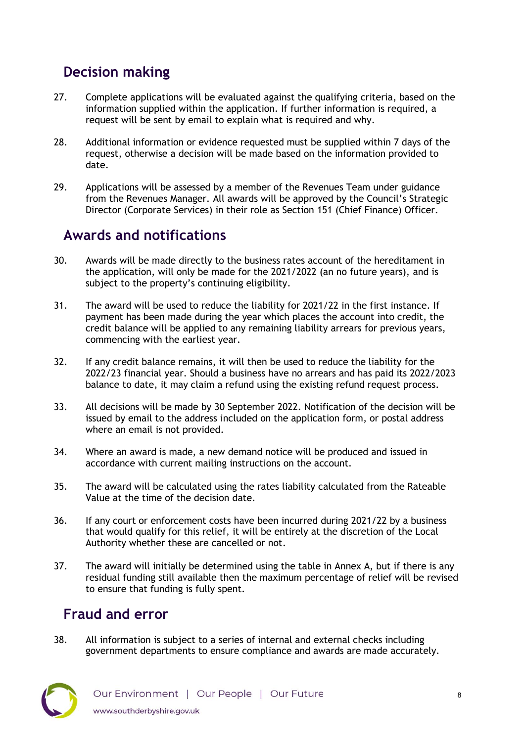# <span id="page-7-0"></span>**Decision making**

- 27. Complete applications will be evaluated against the qualifying criteria, based on the information supplied within the application. If further information is required, a request will be sent by email to explain what is required and why.
- 28. Additional information or evidence requested must be supplied within 7 days of the request, otherwise a decision will be made based on the information provided to date.
- 29. Applications will be assessed by a member of the Revenues Team under guidance from the Revenues Manager. All awards will be approved by the Council's Strategic Director (Corporate Services) in their role as Section 151 (Chief Finance) Officer.

#### <span id="page-7-1"></span>**Awards and notifications**

- 30. Awards will be made directly to the business rates account of the hereditament in the application, will only be made for the 2021/2022 (an no future years), and is subject to the property's continuing eligibility.
- 31. The award will be used to reduce the liability for 2021/22 in the first instance. If payment has been made during the year which places the account into credit, the credit balance will be applied to any remaining liability arrears for previous years, commencing with the earliest year.
- 32. If any credit balance remains, it will then be used to reduce the liability for the 2022/23 financial year. Should a business have no arrears and has paid its 2022/2023 balance to date, it may claim a refund using the existing refund request process.
- 33. All decisions will be made by 30 September 2022. Notification of the decision will be issued by email to the address included on the application form, or postal address where an email is not provided.
- 34. Where an award is made, a new demand notice will be produced and issued in accordance with current mailing instructions on the account.
- 35. The award will be calculated using the rates liability calculated from the Rateable Value at the time of the decision date.
- 36. If any court or enforcement costs have been incurred during 2021/22 by a business that would qualify for this relief, it will be entirely at the discretion of the Local Authority whether these are cancelled or not.
- 37. The award will initially be determined using the table in Annex A, but if there is any residual funding still available then the maximum percentage of relief will be revised to ensure that funding is fully spent.

# <span id="page-7-2"></span>**Fraud and error**

38. All information is subject to a series of internal and external checks including government departments to ensure compliance and awards are made accurately.

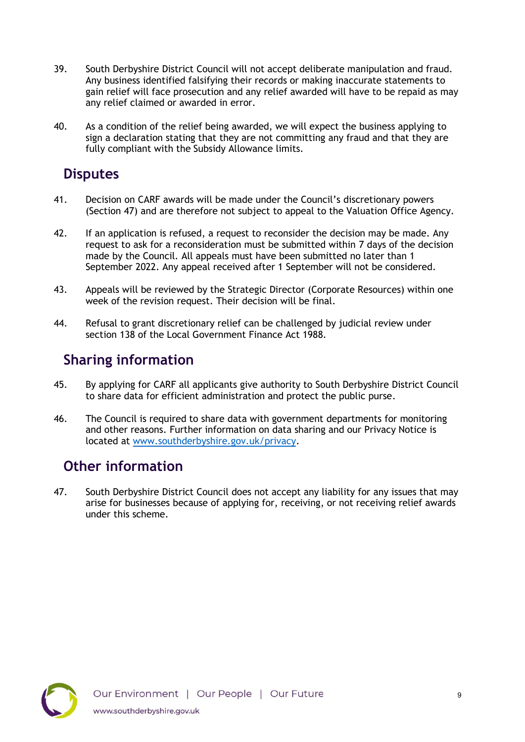- 39. South Derbyshire District Council will not accept deliberate manipulation and fraud. Any business identified falsifying their records or making inaccurate statements to gain relief will face prosecution and any relief awarded will have to be repaid as may any relief claimed or awarded in error.
- 40. As a condition of the relief being awarded, we will expect the business applying to sign a declaration stating that they are not committing any fraud and that they are fully compliant with the Subsidy Allowance limits.

#### <span id="page-8-0"></span>**Disputes**

- 41. Decision on CARF awards will be made under the Council's discretionary powers (Section 47) and are therefore not subject to appeal to the Valuation Office Agency.
- 42. If an application is refused, a request to reconsider the decision may be made. Any request to ask for a reconsideration must be submitted within 7 days of the decision made by the Council. All appeals must have been submitted no later than 1 September 2022. Any appeal received after 1 September will not be considered.
- 43. Appeals will be reviewed by the Strategic Director (Corporate Resources) within one week of the revision request. Their decision will be final.
- 44. Refusal to grant discretionary relief can be challenged by judicial review under section 138 of the Local Government Finance Act 1988.

#### <span id="page-8-1"></span>**Sharing information**

- 45. By applying for CARF all applicants give authority to South Derbyshire District Council to share data for efficient administration and protect the public purse.
- 46. The Council is required to share data with government departments for monitoring and other reasons. Further information on data sharing and our Privacy Notice is located at [www.southderbyshire.gov.uk/privacy.](http://www.southderbyshire.gov.uk/privacynotice)

#### <span id="page-8-2"></span>**Other information**

47. South Derbyshire District Council does not accept any liability for any issues that may arise for businesses because of applying for, receiving, or not receiving relief awards under this scheme.

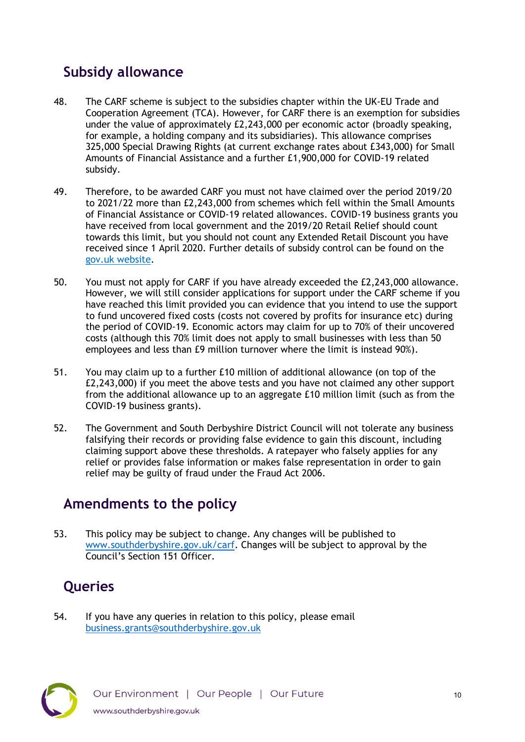# <span id="page-9-0"></span>**Subsidy allowance**

- 48. The CARF scheme is subject to the subsidies chapter within the UK-EU Trade and Cooperation Agreement (TCA). However, for CARF there is an exemption for subsidies under the value of approximately £2,243,000 per economic actor (broadly speaking, for example, a holding company and its subsidiaries). This allowance comprises 325,000 Special Drawing Rights (at current exchange rates about £343,000) for Small Amounts of Financial Assistance and a further £1,900,000 for COVID-19 related subsidy.
- 49. Therefore, to be awarded CARF you must not have claimed over the period 2019/20 to 2021/22 more than £2,243,000 from schemes which fell within the Small Amounts of Financial Assistance or COVID-19 related allowances. COVID-19 business grants you have received from local government and the 2019/20 Retail Relief should count towards this limit, but you should not count any Extended Retail Discount you have received since 1 April 2020. Further details of subsidy control can be found on the [gov.uk website.](https://www.gov.uk/government/publications/complying-with-the-uks-international-obligations-on-subsidy-control-guidance-for-public-authorities)
- 50. You must not apply for CARF if you have already exceeded the £2,243,000 allowance. However, we will still consider applications for support under the CARF scheme if you have reached this limit provided you can evidence that you intend to use the support to fund uncovered fixed costs (costs not covered by profits for insurance etc) during the period of COVID-19. Economic actors may claim for up to 70% of their uncovered costs (although this 70% limit does not apply to small businesses with less than 50 employees and less than £9 million turnover where the limit is instead 90%).
- 51. You may claim up to a further £10 million of additional allowance (on top of the £2,243,000) if you meet the above tests and you have not claimed any other support from the additional allowance up to an aggregate £10 million limit (such as from the COVID-19 business grants).
- 52. The Government and South Derbyshire District Council will not tolerate any business falsifying their records or providing false evidence to gain this discount, including claiming support above these thresholds. A ratepayer who falsely applies for any relief or provides false information or makes false representation in order to gain relief may be guilty of fraud under the Fraud Act 2006.

#### <span id="page-9-1"></span>**Amendments to the policy**

53. This policy may be subject to change. Any changes will be published to [www.southderbyshire.gov.uk/carf.](http://www.southderbyshire.gov.uk/carf) Changes will be subject to approval by the Council's Section 151 Officer.

# <span id="page-9-2"></span>**Queries**

54. If you have any queries in relation to this policy, please email [business.grants@southderbyshire.gov.uk](mailto:business.grants@southderbyshire.gov.uk) 

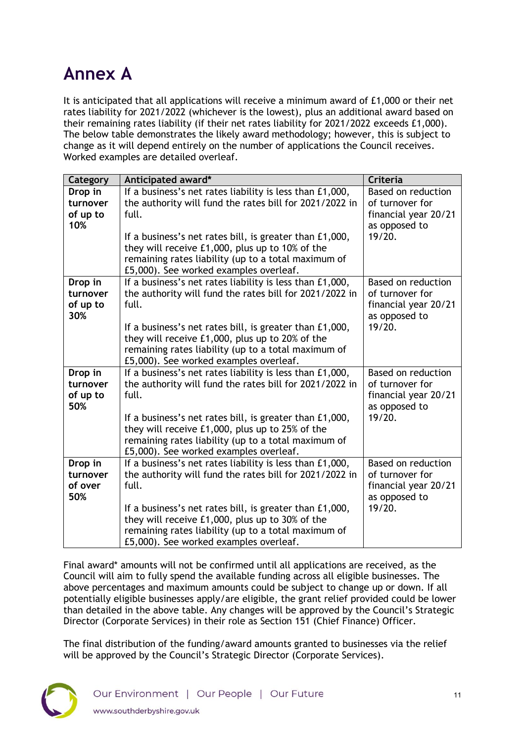# <span id="page-10-0"></span>**Annex A**

It is anticipated that all applications will receive a minimum award of £1,000 or their net rates liability for 2021/2022 (whichever is the lowest), plus an additional award based on their remaining rates liability (if their net rates liability for 2021/2022 exceeds £1,000). The below table demonstrates the likely award methodology; however, this is subject to change as it will depend entirely on the number of applications the Council receives. Worked examples are detailed overleaf.

| Category             | Anticipated award*                                                                                                  | <b>Criteria</b>                              |
|----------------------|---------------------------------------------------------------------------------------------------------------------|----------------------------------------------|
| Drop in              | If a business's net rates liability is less than £1,000,                                                            | Based on reduction                           |
| turnover             | the authority will fund the rates bill for 2021/2022 in                                                             | of turnover for                              |
| of up to             | full.                                                                                                               | financial year 20/21                         |
| 10%                  |                                                                                                                     | as opposed to                                |
|                      | If a business's net rates bill, is greater than £1,000,                                                             | 19/20.                                       |
|                      | they will receive £1,000, plus up to 10% of the                                                                     |                                              |
|                      | remaining rates liability (up to a total maximum of                                                                 |                                              |
|                      | £5,000). See worked examples overleaf.                                                                              |                                              |
| Drop in              | If a business's net rates liability is less than £1,000,<br>the authority will fund the rates bill for 2021/2022 in | <b>Based on reduction</b><br>of turnover for |
| turnover<br>of up to | full.                                                                                                               | financial year 20/21                         |
| 30%                  |                                                                                                                     | as opposed to                                |
|                      | If a business's net rates bill, is greater than £1,000,                                                             | 19/20.                                       |
|                      | they will receive £1,000, plus up to 20% of the                                                                     |                                              |
|                      | remaining rates liability (up to a total maximum of                                                                 |                                              |
|                      | £5,000). See worked examples overleaf.                                                                              |                                              |
| Drop in              | If a business's net rates liability is less than £1,000,                                                            | Based on reduction                           |
| turnover             | the authority will fund the rates bill for 2021/2022 in                                                             | of turnover for                              |
| of up to             | full.                                                                                                               | financial year 20/21                         |
| 50%                  |                                                                                                                     | as opposed to                                |
|                      | If a business's net rates bill, is greater than £1,000,                                                             | 19/20.                                       |
|                      | they will receive £1,000, plus up to 25% of the                                                                     |                                              |
|                      | remaining rates liability (up to a total maximum of                                                                 |                                              |
|                      | £5,000). See worked examples overleaf.                                                                              |                                              |
| Drop in<br>turnover  | If a business's net rates liability is less than £1,000,                                                            | <b>Based on reduction</b><br>of turnover for |
| of over              | the authority will fund the rates bill for 2021/2022 in<br>full.                                                    | financial year 20/21                         |
| 50%                  |                                                                                                                     | as opposed to                                |
|                      | If a business's net rates bill, is greater than £1,000,                                                             | 19/20.                                       |
|                      | they will receive £1,000, plus up to 30% of the                                                                     |                                              |
|                      | remaining rates liability (up to a total maximum of                                                                 |                                              |
|                      | £5,000). See worked examples overleaf.                                                                              |                                              |

Final award\* amounts will not be confirmed until all applications are received, as the Council will aim to fully spend the available funding across all eligible businesses. The above percentages and maximum amounts could be subject to change up or down. If all potentially eligible businesses apply/are eligible, the grant relief provided could be lower than detailed in the above table. Any changes will be approved by the Council's Strategic Director (Corporate Services) in their role as Section 151 (Chief Finance) Officer.

The final distribution of the funding/award amounts granted to businesses via the relief will be approved by the Council's Strategic Director (Corporate Services).